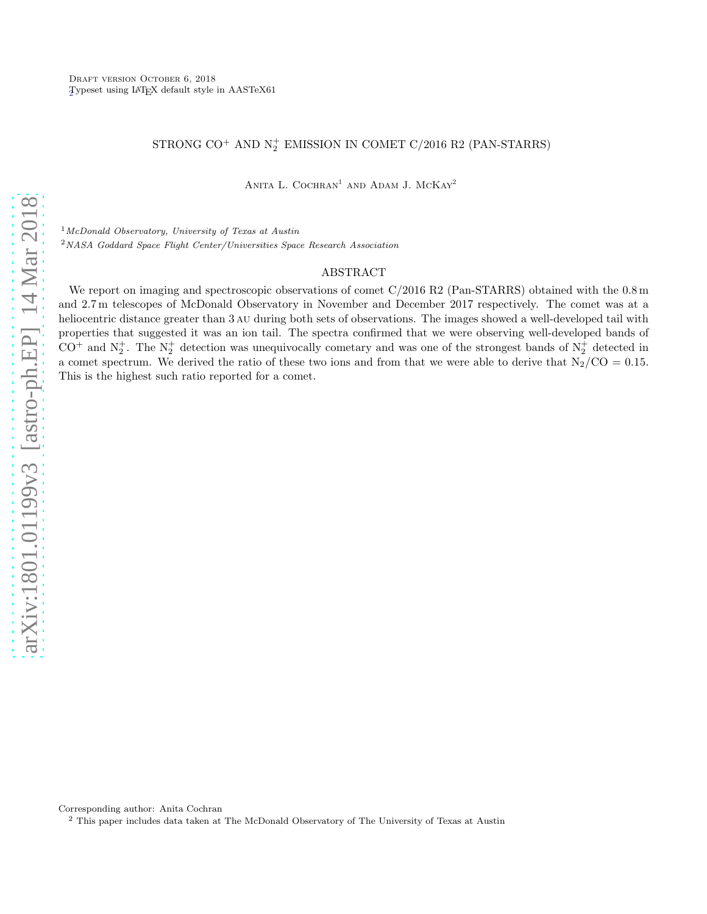## STRONG CO<sup>+</sup> AND  $N_2^+$  EMISSION IN COMET C/2016 R2 (PAN-STARRS)

ANITA L. COCHRAN<sup>1</sup> AND ADAM J. MCKAY<sup>2</sup>

 $1$ McDonald Observatory, University of Texas at Austin <sup>2</sup>NASA Goddard Space Flight Center/Universities Space Research Association

## ABSTRACT

We report on imaging and spectroscopic observations of comet  $C/2016$  R2 (Pan-STARRS) obtained with the 0.8 m and 2.7 m telescopes of McDonald Observatory in November and December 2017 respectively. The comet was at a heliocentric distance greater than 3 au during both sets of observations. The images showed a well-developed tail with properties that suggested it was an ion tail. The spectra confirmed that we were observing well-developed bands of  $CO^+$  and  $N_2^+$ . The  $N_2^+$  detection was unequivocally cometary and was one of the strongest bands of  $N_2^+$  detected in a comet spectrum. We derived the ratio of these two ions and from that we were able to derive that  $N_2/CO = 0.15$ . This is the highest such ratio reported for a comet.

Corresponding author: Anita Cochran

<span id="page-0-0"></span><sup>2</sup> This paper includes data taken at The McDonald Observatory of The University of Texas at Austin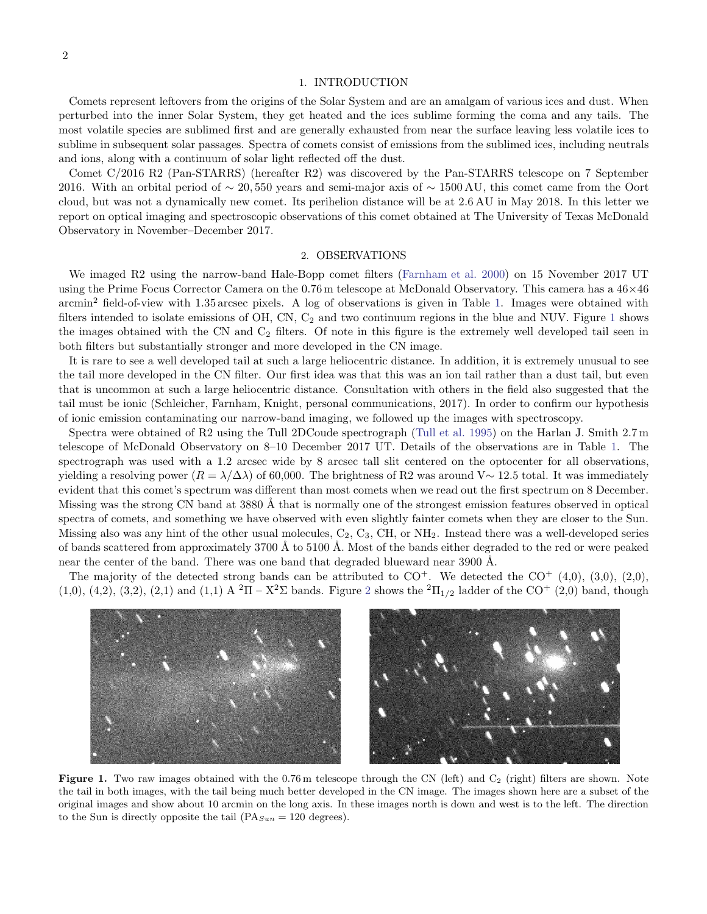## 1. INTRODUCTION

Comets represent leftovers from the origins of the Solar System and are an amalgam of various ices and dust. When perturbed into the inner Solar System, they get heated and the ices sublime forming the coma and any tails. The most volatile species are sublimed first and are generally exhausted from near the surface leaving less volatile ices to sublime in subsequent solar passages. Spectra of comets consist of emissions from the sublimed ices, including neutrals and ions, along with a continuum of solar light reflected off the dust.

Comet C/2016 R2 (Pan-STARRS) (hereafter R2) was discovered by the Pan-STARRS telescope on 7 September 2016. With an orbital period of  $\sim 20,550$  years and semi-major axis of  $\sim 1500$  AU, this comet came from the Oort cloud, but was not a dynamically new comet. Its perihelion distance will be at 2.6 AU in May 2018. In this letter we report on optical imaging and spectroscopic observations of this comet obtained at The University of Texas McDonald Observatory in November–December 2017.

#### 2. OBSERVATIONS

We imaged R2 using the narrow-band Hale-Bopp comet filters [\(Farnham et al. 2000\)](#page-5-0) on 15 November 2017 UT using the Prime Focus Corrector Camera on the 0.76 m telescope at McDonald Observatory. This camera has a 46×46 arcmin<sup>2</sup> field-of-view with 1.35 arcsec pixels. A log of observations is given in Table [1.](#page-2-0) Images were obtained with filters intended to isolate emissions of OH, CN,  $C_2$  and two continuum regions in the blue and NUV. Figure [1](#page-1-0) shows the images obtained with the CN and  $C_2$  filters. Of note in this figure is the extremely well developed tail seen in both filters but substantially stronger and more developed in the CN image.

It is rare to see a well developed tail at such a large heliocentric distance. In addition, it is extremely unusual to see the tail more developed in the CN filter. Our first idea was that this was an ion tail rather than a dust tail, but even that is uncommon at such a large heliocentric distance. Consultation with others in the field also suggested that the tail must be ionic (Schleicher, Farnham, Knight, personal communications, 2017). In order to confirm our hypothesis of ionic emission contaminating our narrow-band imaging, we followed up the images with spectroscopy.

Spectra were obtained of R2 using the Tull 2DCoude spectrograph [\(Tull et al. 1995\)](#page-6-0) on the Harlan J. Smith 2.7 m telescope of McDonald Observatory on 8–10 December 2017 UT. Details of the observations are in Table [1.](#page-2-0) The spectrograph was used with a 1.2 arcsec wide by 8 arcsec tall slit centered on the optocenter for all observations, yielding a resolving power  $(R = \lambda/\Delta\lambda)$  of 60,000. The brightness of R2 was around V $\sim$  12.5 total. It was immediately evident that this comet's spectrum was different than most comets when we read out the first spectrum on 8 December. Missing was the strong CN band at 3880 Å that is normally one of the strongest emission features observed in optical spectra of comets, and something we have observed with even slightly fainter comets when they are closer to the Sun. Missing also was any hint of the other usual molecules,  $C_2$ ,  $C_3$ ,  $CH$ , or  $NH_2$ . Instead there was a well-developed series of bands scattered from approximately 3700 Å to 5100 Å. Most of the bands either degraded to the red or were peaked near the center of the band. There was one band that degraded blueward near  $3900 \text{ Å}$ .

The majority of the detected strong bands can be attributed to  $CO<sup>+</sup>$ . We detected the  $CO<sup>+</sup> (4,0), (3,0), (2,0),$ (1,0), (4,[2](#page-3-0)), (3,2), (2,1) and (1,1) A  ${}^{2}\Pi - X{}^{2}\Sigma$  bands. Figure 2 shows the  ${}^{2}\Pi_{1/2}$  ladder of the CO<sup>+</sup> (2,0) band, though



<span id="page-1-0"></span>Figure 1. Two raw images obtained with the  $0.76$  m telescope through the CN (left) and  $C_2$  (right) filters are shown. Note the tail in both images, with the tail being much better developed in the CN image. The images shown here are a subset of the original images and show about 10 arcmin on the long axis. In these images north is down and west is to the left. The direction to the Sun is directly opposite the tail  $(PA_{Sun} = 120$  degrees).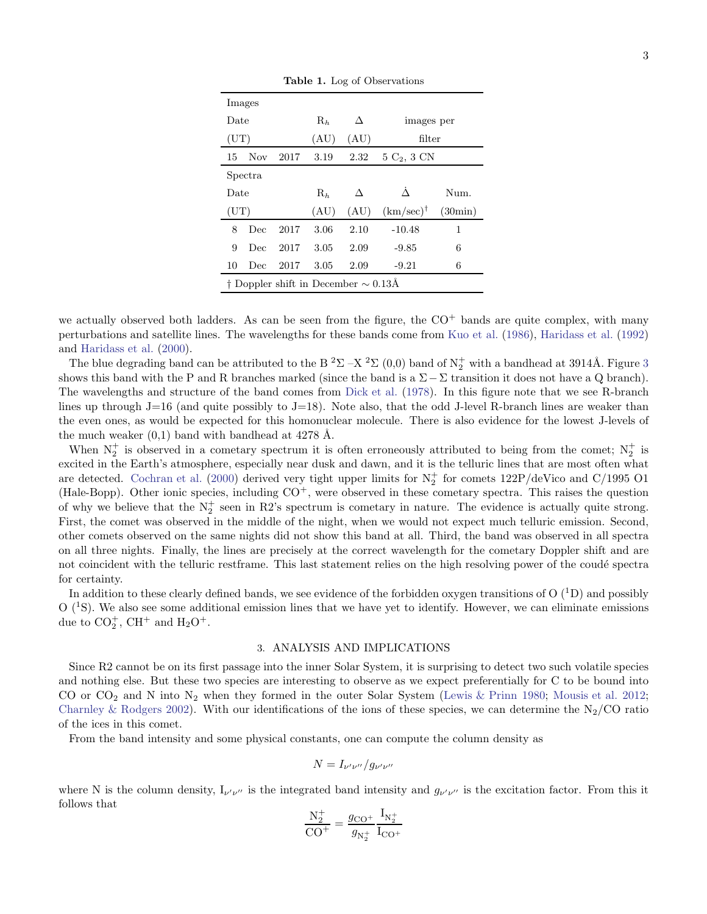| Images                                                    |      |      |       |                      |                                |      |  |
|-----------------------------------------------------------|------|------|-------|----------------------|--------------------------------|------|--|
| Date                                                      |      |      | $R_h$ | Л                    | images per                     |      |  |
| $(\mathrm{UT})$                                           |      |      | (AU)  | (AU)                 | filter                         |      |  |
| 15                                                        | Nov. | 2017 | 3.19  | 2.32                 | $5\text{ C}_2$ , $3\text{ CN}$ |      |  |
| Spectra                                                   |      |      |       |                      |                                |      |  |
| Date                                                      |      |      | $R_h$ | Л                    |                                | Num. |  |
| $(\mathrm{UT})$                                           |      | (AU) | (AU)  | $(km/sec)^{\dagger}$ | (30min)                        |      |  |
| 8                                                         | Dec  | 2017 | 3.06  | 2.10                 | $-10.48$                       | 1    |  |
| 9                                                         | Dec  | 2017 | 3.05  | 2.09                 | $-9.85$                        | 6    |  |
| 10                                                        | Dec  | 2017 | 3.05  | 2.09                 | $-9.21$                        | 6    |  |
| $\dagger$ Doppler shift in December $\sim 0.13\text{\AA}$ |      |      |       |                      |                                |      |  |

<span id="page-2-0"></span>Table 1. Log of Observations

we actually observed both ladders. As can be seen from the figure, the  $CO<sup>+</sup>$  bands are quite complex, with many perturbations and satellite lines. The wavelengths for these bands come from [Kuo et al.](#page-6-1) [\(1986\)](#page-6-1), [Haridass et al.](#page-6-2) [\(1992](#page-6-2)) and [Haridass et al.](#page-6-3) [\(2000](#page-6-3)).

The blue degrading band can be attributed to the B<sup>2</sup> $\Sigma$  –X<sup>2</sup> $\Sigma$  (0,0) band of N<sub>2</sub><sup>+</sup> with a bandhead at [3](#page-4-0)914Å. Figure 3 shows this band with the P and R branches marked (since the band is a  $\Sigma-\Sigma$  transition it does not have a Q branch). The wavelengths and structure of the band comes from [Dick et al.](#page-5-1) [\(1978](#page-5-1)). In this figure note that we see R-branch lines up through J=16 (and quite possibly to J=18). Note also, that the odd J-level R-branch lines are weaker than the even ones, as would be expected for this homonuclear molecule. There is also evidence for the lowest J-levels of the much weaker  $(0,1)$  band with bandhead at 4278 Å.

When  $N_2^+$  is observed in a cometary spectrum it is often erroneously attributed to being from the comet;  $N_2^+$  is excited in the Earth's atmosphere, especially near dusk and dawn, and it is the telluric lines that are most often what are detected. [Cochran et al.](#page-5-2) [\(2000\)](#page-5-2) derived very tight upper limits for  $N_2^+$  for comets  $122P$ /deVico and C/1995 O1 (Hale-Bopp). Other ionic species, including  $CO<sup>+</sup>$ , were observed in these cometary spectra. This raises the question of why we believe that the  $N_2^+$  seen in R2's spectrum is cometary in nature. The evidence is actually quite strong. First, the comet was observed in the middle of the night, when we would not expect much telluric emission. Second, other comets observed on the same nights did not show this band at all. Third, the band was observed in all spectra on all three nights. Finally, the lines are precisely at the correct wavelength for the cometary Doppler shift and are not coincident with the telluric restframe. This last statement relies on the high resolving power of the coudé spectra for certainty.

In addition to these clearly defined bands, we see evidence of the forbidden oxygen transitions of  $O(^{1}D)$  and possibly  $O(^{1}S)$ . We also see some additional emission lines that we have yet to identify. However, we can eliminate emissions due to  $CO_2^+$ , CH<sup>+</sup> and H<sub>2</sub>O<sup>+</sup>.

## 3. ANALYSIS AND IMPLICATIONS

Since R2 cannot be on its first passage into the inner Solar System, it is surprising to detect two such volatile species and nothing else. But these two species are interesting to observe as we expect preferentially for C to be bound into CO or  $CO_2$  and N into N<sub>2</sub> when they formed in the outer Solar System [\(Lewis & Prinn 1980](#page-6-4); [Mousis et al. 2012](#page-6-5); [Charnley & Rodgers 2002\)](#page-5-3). With our identifications of the ions of these species, we can determine the N<sub>2</sub>/CO ratio of the ices in this comet.

From the band intensity and some physical constants, one can compute the column density as

$$
N = I_{\nu'\nu''}/g_{\nu'\nu''}
$$

where N is the column density,  $I_{\nu'\nu''}$  is the integrated band intensity and  $g_{\nu'\nu''}$  is the excitation factor. From this it follows that

$$
\frac{N_2^+}{CO^+} = \frac{g_{CO^+}}{g_{N_2^+}} \frac{I_{N_2^+}}{I_{CO^+}}
$$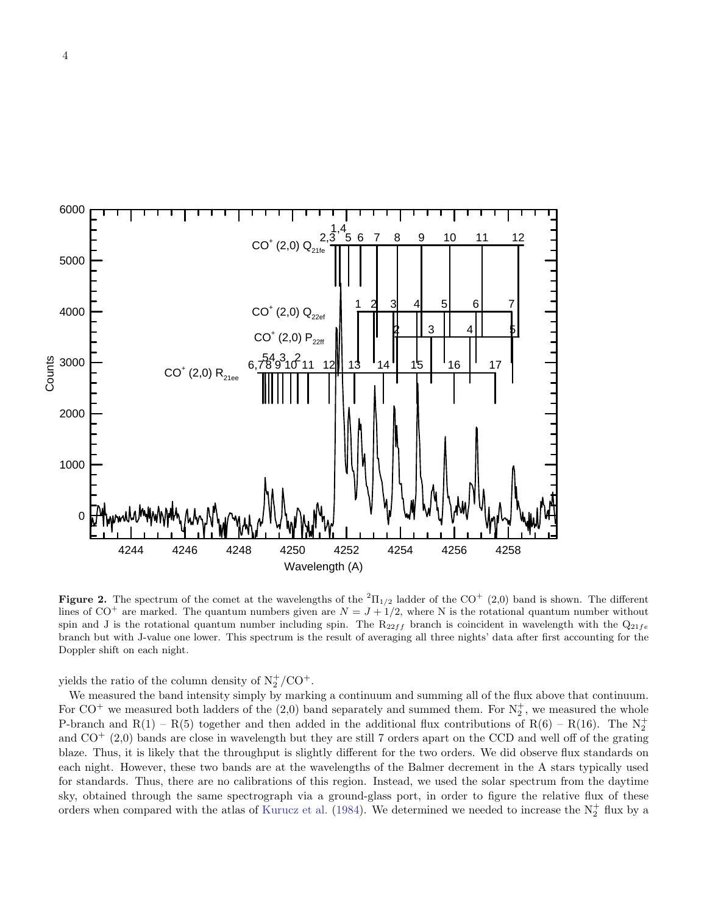

<span id="page-3-0"></span>**Figure 2.** The spectrum of the comet at the wavelengths of the <sup>2</sup> $\Pi_{1/2}$  ladder of the CO<sup>+</sup> (2,0) band is shown. The different lines of  $CO^+$  are marked. The quantum numbers given are  $N = J + 1/2$ , where N is the rotational quantum number without spin and J is the rotational quantum number including spin. The  $R_{22ff}$  branch is coincident in wavelength with the  $Q_{21fe}$ branch but with J-value one lower. This spectrum is the result of averaging all three nights' data after first accounting for the Doppler shift on each night.

yields the ratio of the column density of  $N_2^+/CO^+$ .

We measured the band intensity simply by marking a continuum and summing all of the flux above that continuum. For  $CO^+$  we measured both ladders of the (2,0) band separately and summed them. For  $N_2^+$ , we measured the whole P-branch and R(1) – R(5) together and then added in the additional flux contributions of R(6) – R(16). The  $N_2^+$ and  $CO<sup>+</sup>$  (2,0) bands are close in wavelength but they are still 7 orders apart on the CCD and well off of the grating blaze. Thus, it is likely that the throughput is slightly different for the two orders. We did observe flux standards on each night. However, these two bands are at the wavelengths of the Balmer decrement in the A stars typically used for standards. Thus, there are no calibrations of this region. Instead, we used the solar spectrum from the daytime sky, obtained through the same spectrograph via a ground-glass port, in order to figure the relative flux of these orders when compared with the atlas of [Kurucz et al.](#page-6-6) [\(1984](#page-6-6)). We determined we needed to increase the  $N_2^+$  flux by a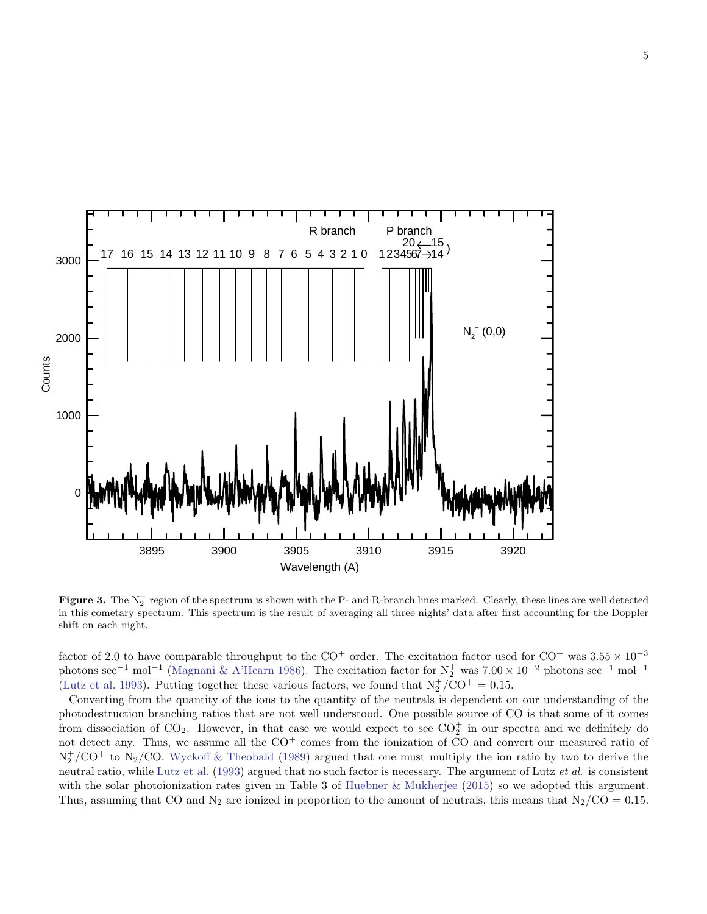

<span id="page-4-0"></span>Figure 3. The  $N_2^+$  region of the spectrum is shown with the P- and R-branch lines marked. Clearly, these lines are well detected in this cometary spectrum. This spectrum is the result of averaging all three nights' data after first accounting for the Doppler shift on each night.

factor of 2.0 to have comparable throughput to the CO<sup>+</sup> order. The excitation factor used for CO<sup>+</sup> was  $3.55 \times 10^{-3}$ photons sec<sup>-1</sup> mol<sup>-1</sup> [\(Magnani & A'Hearn 1986\)](#page-6-7). The excitation factor for  $N_2^+$  was  $7.00 \times 10^{-2}$  photons sec<sup>-1</sup> mol<sup>-1</sup> [\(Lutz et al. 1993\)](#page-6-8). Putting together these various factors, we found that  $N_2^+ / CO^+ = 0.15$ .

Converting from the quantity of the ions to the quantity of the neutrals is dependent on our understanding of the photodestruction branching ratios that are not well understood. One possible source of CO is that some of it comes from dissociation of  $CO_2$ . However, in that case we would expect to see  $CO_2^+$  in our spectra and we definitely do not detect any. Thus, we assume all the  $CO<sup>+</sup>$  comes from the ionization of CO and convert our measured ratio of  $N_2^+/CO^+$  to  $N_2/CO$ . [Wyckoff & Theobald](#page-6-9) [\(1989\)](#page-6-9) argued that one must multiply the ion ratio by two to derive the neutral ratio, while [Lutz et al.](#page-6-8) [\(1993\)](#page-6-8) argued that no such factor is necessary. The argument of Lutz *et al.* is consistent with the solar photoionization rates given in Table 3 of [Huebner & Mukherjee](#page-6-10) [\(2015\)](#page-6-10) so we adopted this argument. Thus, assuming that CO and N<sub>2</sub> are ionized in proportion to the amount of neutrals, this means that  $N_2/CO = 0.15$ .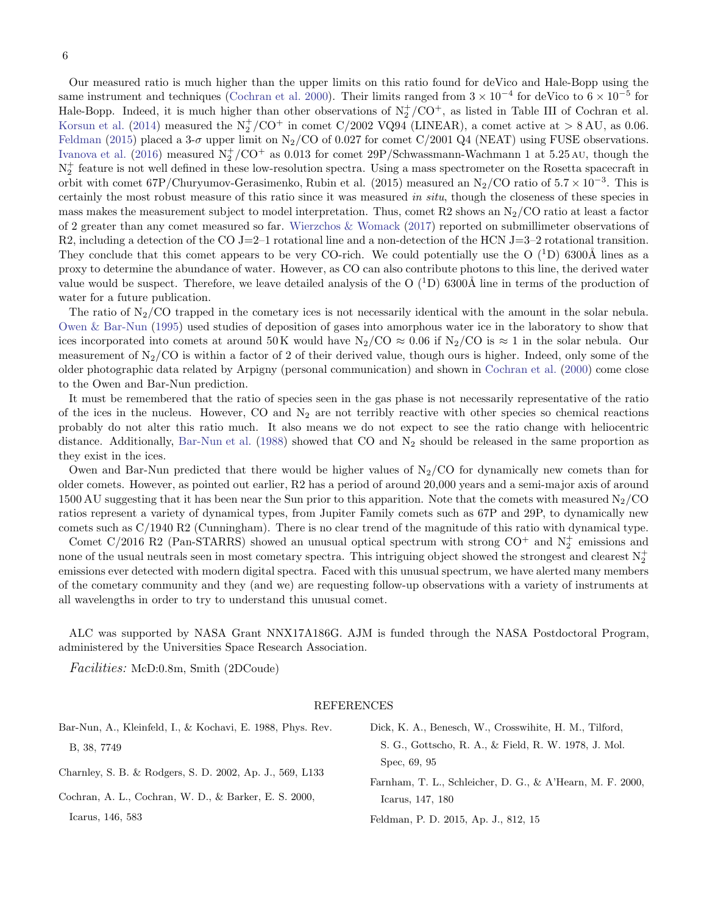Our measured ratio is much higher than the upper limits on this ratio found for deVico and Hale-Bopp using the same instrument and techniques [\(Cochran et al. 2000](#page-5-2)). Their limits ranged from  $3 \times 10^{-4}$  for deVico to  $6 \times 10^{-5}$  for Hale-Bopp. Indeed, it is much higher than other observations of  $N_2^+/CO^+$ , as listed in Table III of Cochran et al. [Korsun et al.](#page-6-11) [\(2014](#page-6-11)) measured the  $N_2^+/CO^+$  in comet  $C/2002$  VQ94 (LINEAR), a comet active at  $> 8 \text{ AU}$ , as 0.06. [Feldman](#page-5-4) [\(2015\)](#page-5-4) placed a 3- $\sigma$  upper limit on N<sub>2</sub>/CO of 0.027 for comet C/2001 Q4 (NEAT) using FUSE observations. [Ivanova et al.](#page-6-12) [\(2016\)](#page-6-12) measured  $\rm N_2^+/CO^+$  as 0.013 for comet 29P/Schwassmann-Wachmann 1 at 5.25 AU, though the  $N_2^+$  feature is not well defined in these low-resolution spectra. Using a mass spectrometer on the Rosetta spacecraft in orbit with comet  $67P/C$ huryumov-Gerasimenko, Rubin et al. (2015) measured an N<sub>2</sub>/CO ratio of  $5.7 \times 10^{-3}$ . This is certainly the most robust measure of this ratio since it was measured in situ, though the closeness of these species in mass makes the measurement subject to model interpretation. Thus, comet R2 shows an  $N_2/CO$  ratio at least a factor of 2 greater than any comet measured so far. [Wierzchos & Womack](#page-6-13) [\(2017\)](#page-6-13) reported on submillimeter observations of R2, including a detection of the CO J=2–1 rotational line and a non-detection of the HCN J=3–2 rotational transition. They conclude that this comet appears to be very CO-rich. We could potentially use the O  $(1D)$  6300Å lines as a proxy to determine the abundance of water. However, as CO can also contribute photons to this line, the derived water value would be suspect. Therefore, we leave detailed analysis of the O  $(^1D)$  6300Å line in terms of the production of water for a future publication.

The ratio of  $N_2/CO$  trapped in the cometary ices is not necessarily identical with the amount in the solar nebula. [Owen & Bar-Nun](#page-6-14) [\(1995\)](#page-6-14) used studies of deposition of gases into amorphous water ice in the laboratory to show that ices incorporated into comets at around 50 K would have  $N_2/CO \approx 0.06$  if  $N_2/CO$  is  $\approx 1$  in the solar nebula. Our measurement of  $N_2/CO$  is within a factor of 2 of their derived value, though ours is higher. Indeed, only some of the older photographic data related by Arpigny (personal communication) and shown in [Cochran et al.](#page-5-2) [\(2000](#page-5-2)) come close to the Owen and Bar-Nun prediction.

It must be remembered that the ratio of species seen in the gas phase is not necessarily representative of the ratio of the ices in the nucleus. However, CO and  $N_2$  are not terribly reactive with other species so chemical reactions probably do not alter this ratio much. It also means we do not expect to see the ratio change with heliocentric distance. Additionally, [Bar-Nun et al.](#page-5-5) [\(1988\)](#page-5-5) showed that CO and  $N_2$  should be released in the same proportion as they exist in the ices.

Owen and Bar-Nun predicted that there would be higher values of  $N_2/CO$  for dynamically new comets than for older comets. However, as pointed out earlier, R2 has a period of around 20,000 years and a semi-major axis of around 1500 AU suggesting that it has been near the Sun prior to this apparition. Note that the comets with measured  $N_2/CO$ ratios represent a variety of dynamical types, from Jupiter Family comets such as 67P and 29P, to dynamically new comets such as C/1940 R2 (Cunningham). There is no clear trend of the magnitude of this ratio with dynamical type.

Comet C/2016 R2 (Pan-STARRS) showed an unusual optical spectrum with strong  $CO^+$  and  $N_2^+$  emissions and none of the usual neutrals seen in most cometary spectra. This intriguing object showed the strongest and clearest  $N_2^+$ emissions ever detected with modern digital spectra. Faced with this unusual spectrum, we have alerted many members of the cometary community and they (and we) are requesting follow-up observations with a variety of instruments at all wavelengths in order to try to understand this unusual comet.

ALC was supported by NASA Grant NNX17A186G. AJM is funded through the NASA Postdoctoral Program, administered by the Universities Space Research Association.

Facilities: McD:0.8m, Smith (2DCoude)

#### <span id="page-5-4"></span><span id="page-5-1"></span><span id="page-5-0"></span>REFERENCES

<span id="page-5-5"></span><span id="page-5-3"></span><span id="page-5-2"></span>

| Bar-Nun, A., Kleinfeld, I., & Kochavi, E. 1988, Phys. Rev. | Dick, K. A., Benesch, W., Crosswihite, H. M., Tilford,    |
|------------------------------------------------------------|-----------------------------------------------------------|
| B, 38, 7749                                                | S. G., Gottscho, R. A., & Field, R. W. 1978, J. Mol.      |
| Charnley, S. B. & Rodgers, S. D. 2002, Ap. J., 569, L133   | Spec, 69, 95                                              |
|                                                            | Farnham, T. L., Schleicher, D. G., & A'Hearn, M. F. 2000, |
| Cochran, A. L., Cochran, W. D., & Barker, E. S. 2000,      | Icarus, 147, 180                                          |
| Icarus, 146, 583                                           | Feldman, P. D. 2015, Ap. J., 812, 15                      |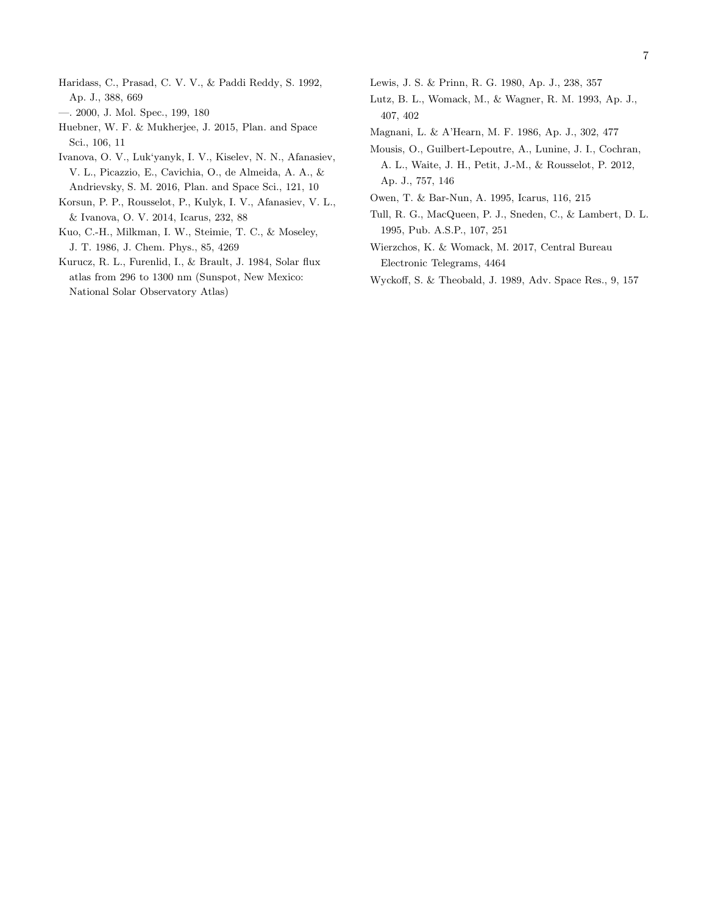- <span id="page-6-2"></span>Haridass, C., Prasad, C. V. V., & Paddi Reddy, S. 1992, Ap. J., 388, 669
- <span id="page-6-3"></span>—. 2000, J. Mol. Spec., 199, 180
- <span id="page-6-10"></span>Huebner, W. F. & Mukherjee, J. 2015, Plan. and Space Sci., 106, 11
- <span id="page-6-12"></span>Ivanova, O. V., Luk'yanyk, I. V., Kiselev, N. N., Afanasiev, V. L., Picazzio, E., Cavichia, O., de Almeida, A. A., & Andrievsky, S. M. 2016, Plan. and Space Sci., 121, 10
- <span id="page-6-11"></span>Korsun, P. P., Rousselot, P., Kulyk, I. V., Afanasiev, V. L., & Ivanova, O. V. 2014, Icarus, 232, 88
- <span id="page-6-1"></span>Kuo, C.-H., Milkman, I. W., Steimie, T. C., & Moseley, J. T. 1986, J. Chem. Phys., 85, 4269
- <span id="page-6-6"></span>Kurucz, R. L., Furenlid, I., & Brault, J. 1984, Solar flux atlas from 296 to 1300 nm (Sunspot, New Mexico: National Solar Observatory Atlas)
- <span id="page-6-4"></span>Lewis, J. S. & Prinn, R. G. 1980, Ap. J., 238, 357
- <span id="page-6-8"></span>Lutz, B. L., Womack, M., & Wagner, R. M. 1993, Ap. J., 407, 402
- <span id="page-6-7"></span>Magnani, L. & A'Hearn, M. F. 1986, Ap. J., 302, 477
- <span id="page-6-5"></span>Mousis, O., Guilbert-Lepoutre, A., Lunine, J. I., Cochran, A. L., Waite, J. H., Petit, J.-M., & Rousselot, P. 2012, Ap. J., 757, 146
- <span id="page-6-14"></span>Owen, T. & Bar-Nun, A. 1995, Icarus, 116, 215
- <span id="page-6-0"></span>Tull, R. G., MacQueen, P. J., Sneden, C., & Lambert, D. L. 1995, Pub. A.S.P., 107, 251
- <span id="page-6-13"></span>Wierzchos, K. & Womack, M. 2017, Central Bureau Electronic Telegrams, 4464
- <span id="page-6-9"></span>Wyckoff, S. & Theobald, J. 1989, Adv. Space Res., 9, 157